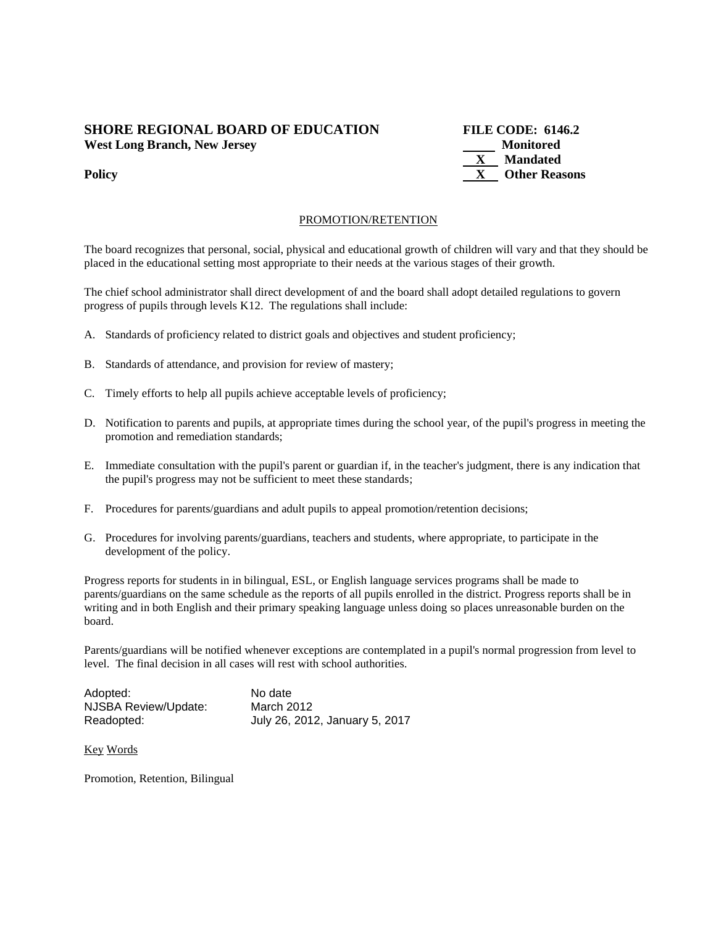## **SHORE REGIONAL BOARD OF EDUCATION FILE CODE: 6146.2 West Long Branch, New Jersey Monitored**

 **X Mandated Policy X** Other Reasons

#### PROMOTION/RETENTION

The board recognizes that personal, social, physical and educational growth of children will vary and that they should be placed in the educational setting most appropriate to their needs at the various stages of their growth.

The chief school administrator shall direct development of and the board shall adopt detailed regulations to govern progress of pupils through levels K12. The regulations shall include:

- A. Standards of proficiency related to district goals and objectives and student proficiency;
- B. Standards of attendance, and provision for review of mastery;
- C. Timely efforts to help all pupils achieve acceptable levels of proficiency;
- D. Notification to parents and pupils, at appropriate times during the school year, of the pupil's progress in meeting the promotion and remediation standards;
- E. Immediate consultation with the pupil's parent or guardian if, in the teacher's judgment, there is any indication that the pupil's progress may not be sufficient to meet these standards;
- F. Procedures for parents/guardians and adult pupils to appeal promotion/retention decisions;
- G. Procedures for involving parents/guardians, teachers and students, where appropriate, to participate in the development of the policy.

Progress reports for students in in bilingual, ESL, or English language services programs shall be made to parents/guardians on the same schedule as the reports of all pupils enrolled in the district. Progress reports shall be in writing and in both English and their primary speaking language unless doing so places unreasonable burden on the board.

Parents/guardians will be notified whenever exceptions are contemplated in a pupil's normal progression from level to level. The final decision in all cases will rest with school authorities.

| Adopted:             | No date                        |
|----------------------|--------------------------------|
| NJSBA Review/Update: | March 2012                     |
| Readopted:           | July 26, 2012, January 5, 2017 |

Key Words

Promotion, Retention, Bilingual